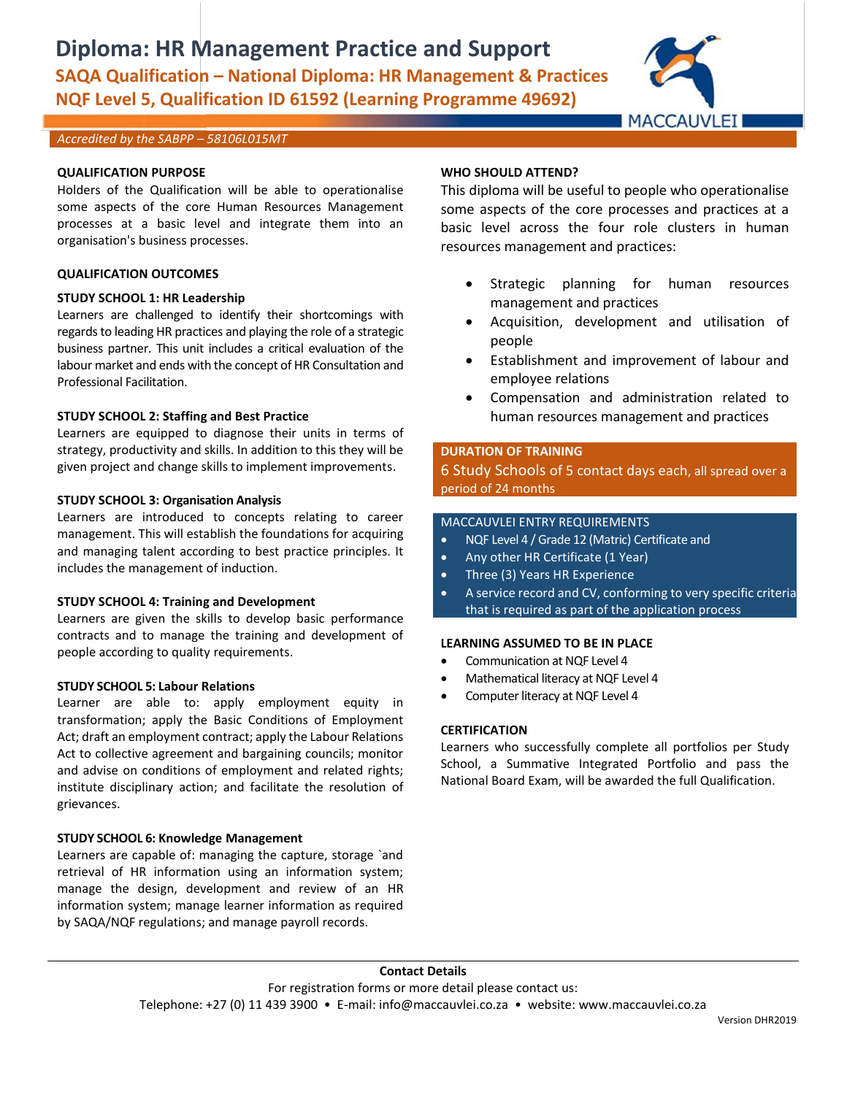## **Diploma: HR Management Practice and Support SAQA Qualification – National Diploma: HR Management & Practices NQF Level 5, Qualification ID 61592 (Learning Programme 49692)**



#### *Accredited by the SABPP – 58106L015MT*

#### **QUALIFICATION PURPOSE**

Holders of the Qualification will be able to operationalise some aspects of the core Human Resources Management processes at a basic level and integrate them into an organisation's business processes.

### **QUALIFICATION OUTCOMES**

### **STUDY SCHOOL 1: HR Leadership**

Learners are challenged to identify their shortcomings with regards to leading HR practices and playing the role of a strategic business partner. This unit includes a critical evaluation of the labour market and ends with the concept of HR Consultation and Professional Facilitation.

#### **STUDY SCHOOL 2: Staffing and Best Practice**

Learners are equipped to diagnose their units in terms of strategy, productivity and skills. In addition to this they will be given project and change skills to implement improvements.

### **STUDY SCHOOL 3: Organisation Analysis**

Learners are introduced to concepts relating to career management. This will establish the foundations for acquiring and managing talent according to best practice principles. It includes the management of induction.

#### **STUDY SCHOOL 4: Training and Development**

Learners are given the skills to develop basic performance contracts and to manage the training and development of people according to quality requirements.

#### **STUDY SCHOOL 5: Labour Relations**

Learner are able to: apply employment equity in transformation; apply the Basic Conditions of Employment Act; draft an employment contract; apply the Labour Relations Act to collective agreement and bargaining councils; monitor and advise on conditions of employment and related rights; institute disciplinary action; and facilitate the resolution of grievances.

#### **STUDY SCHOOL 6: Knowledge Management**

Learners are capable of: managing the capture, storage `and retrieval of HR information using an information system; manage the design, development and review of an HR information system; manage learner information as required by SAQA/NQF regulations; and manage payroll records.

#### **WHO SHOULD ATTEND?**

This diploma will be useful to people who operationalise some aspects of the core processes and practices at a basic level across the four role clusters in human resources management and practices:

- Strategic planning for human resources management and practices
- Acquisition, development and utilisation of people
- Establishment and improvement of labour and employee relations
- Compensation and administration related to human resources management and practices

## **DURATION OF TRAINING**

6 Study Schools of 5 contact days each, all spread over a period of 24 months

#### MACCAUVLEI ENTRY REQUIREMENTS

- NQF Level 4 / Grade 12 (Matric) Certificate and
- Any other HR Certificate (1 Year)
- Three (3) Years HR Experience
- A service record and CV, conforming to very specific criteria that is required as part of the application process

#### **LEARNING ASSUMED TO BE IN PLACE**

- Communication at NQF Level 4
- Mathematical literacy at NQF Level 4
- Computer literacy at NQF Level 4

#### **CERTIFICATION**

Learners who successfully complete all portfolios per Study School, a Summative Integrated Portfolio and pass the National Board Exam, will be awarded the full Qualification.

#### **Contact Details**

For registration forms or more detail please contact us: Telephone: +27 (0) 11 439 3900 • E-mail: info@maccauvlei.co.za • website: www.maccauvlei.co.za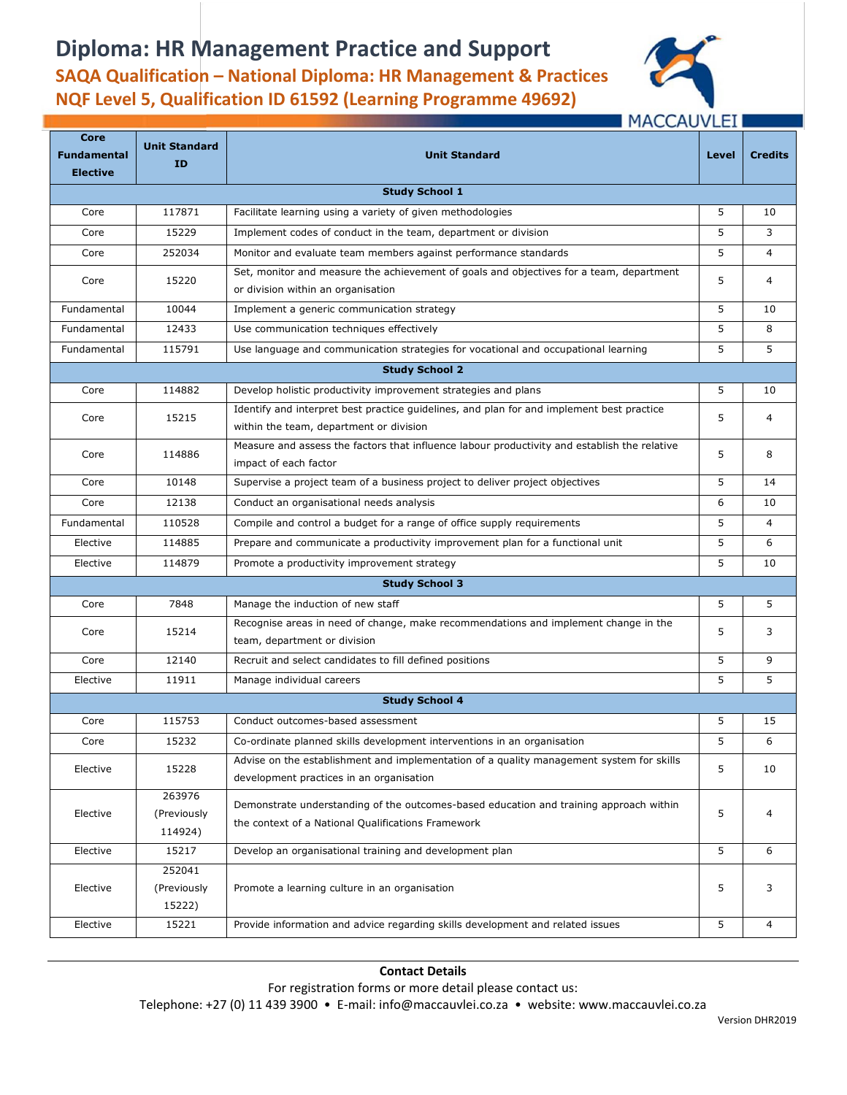# **Diploma: HR Management Practice and Support**





## **MACCAUVLEI**

| <b>Core</b><br><b>Fundamental</b> | <b>Unit Standard</b>             | <b>Unit Standard</b>                                                                                                                         | Level | <b>Credits</b> |  |  |  |
|-----------------------------------|----------------------------------|----------------------------------------------------------------------------------------------------------------------------------------------|-------|----------------|--|--|--|
| <b>Elective</b>                   | ID                               |                                                                                                                                              |       |                |  |  |  |
| <b>Study School 1</b>             |                                  |                                                                                                                                              |       |                |  |  |  |
| Core                              | 117871                           | Facilitate learning using a variety of given methodologies                                                                                   | 5     | 10             |  |  |  |
| Core                              | 15229                            | Implement codes of conduct in the team, department or division                                                                               | 5     | 3              |  |  |  |
| Core                              | 252034                           | Monitor and evaluate team members against performance standards                                                                              | 5     | $\overline{4}$ |  |  |  |
| Core                              | 15220                            | Set, monitor and measure the achievement of goals and objectives for a team, department<br>or division within an organisation                | 5     | $\overline{4}$ |  |  |  |
| Fundamental                       | 10044                            | Implement a generic communication strategy                                                                                                   | 5     | 10             |  |  |  |
| Fundamental                       | 12433                            | Use communication techniques effectively                                                                                                     | 5     | 8              |  |  |  |
| Fundamental                       | 115791                           | Use language and communication strategies for vocational and occupational learning                                                           | 5     | 5              |  |  |  |
| <b>Study School 2</b>             |                                  |                                                                                                                                              |       |                |  |  |  |
| Core                              | 114882                           | Develop holistic productivity improvement strategies and plans                                                                               | 5     | 10             |  |  |  |
| Core                              | 15215                            | Identify and interpret best practice quidelines, and plan for and implement best practice<br>within the team, department or division         | 5     | 4              |  |  |  |
| Core                              | 114886                           | Measure and assess the factors that influence labour productivity and establish the relative<br>impact of each factor                        | 5     | 8              |  |  |  |
| Core                              | 10148                            | Supervise a project team of a business project to deliver project objectives                                                                 | 5     | 14             |  |  |  |
| Core                              | 12138                            | Conduct an organisational needs analysis                                                                                                     | 6     | 10             |  |  |  |
| Fundamental                       | 110528                           | Compile and control a budget for a range of office supply requirements                                                                       | 5     | $\overline{4}$ |  |  |  |
| Elective                          | 114885                           | Prepare and communicate a productivity improvement plan for a functional unit                                                                | 5     | 6              |  |  |  |
| Elective                          | 114879                           | Promote a productivity improvement strategy                                                                                                  | 5     | 10             |  |  |  |
|                                   |                                  | <b>Study School 3</b>                                                                                                                        |       |                |  |  |  |
| Core                              | 7848                             | Manage the induction of new staff                                                                                                            | 5     | 5              |  |  |  |
| Core                              | 15214                            | Recognise areas in need of change, make recommendations and implement change in the<br>team, department or division                          | 5     | 3              |  |  |  |
| Core                              | 12140                            | Recruit and select candidates to fill defined positions                                                                                      | 5     | 9              |  |  |  |
| Elective                          | 11911                            | Manage individual careers                                                                                                                    | 5     | 5              |  |  |  |
| <b>Study School 4</b>             |                                  |                                                                                                                                              |       |                |  |  |  |
| Core                              | 115753                           | Conduct outcomes-based assessment                                                                                                            | 5     | 15             |  |  |  |
| Core                              | 15232                            | Co-ordinate planned skills development interventions in an organisation                                                                      | 5     | 6              |  |  |  |
| Elective                          | 15228                            | Advise on the establishment and implementation of a quality management system for skills<br>development practices in an organisation         | 5     | 10             |  |  |  |
| Elective                          | 263976<br>(Previously<br>114924) | Demonstrate understanding of the outcomes-based education and training approach within<br>the context of a National Qualifications Framework | 5     | $\overline{4}$ |  |  |  |
| Elective                          | 15217                            | Develop an organisational training and development plan                                                                                      | 5     | 6              |  |  |  |
| Elective                          | 252041<br>(Previously<br>15222)  | Promote a learning culture in an organisation                                                                                                | 5     | 3              |  |  |  |
| Elective                          | 15221                            | Provide information and advice regarding skills development and related issues                                                               | 5     | 4              |  |  |  |

### **Contact Details**

For registration forms or more detail please contact us:

Telephone: +27 (0) 11 439 3900 • E-mail: info@maccauvlei.co.za • website: www.maccauvlei.co.za